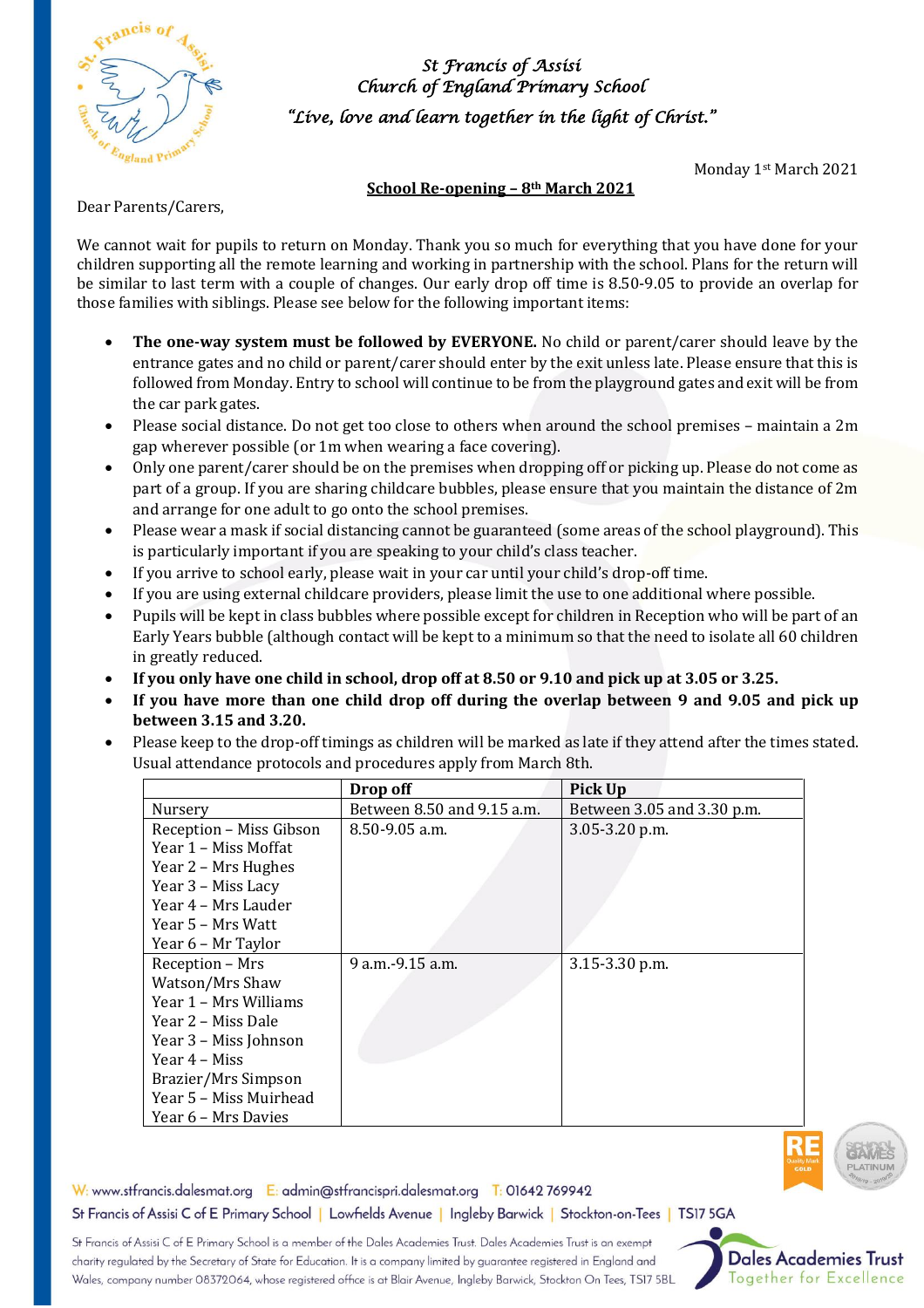

*St Francis of Assisi Church of England Primary School "Live, love and learn together in the light of Christ."* 

Monday 1st March 2021

### **School Re-opening – 8th March 2021**

Dear Parents/Carers,

We cannot wait for pupils to return on Monday. Thank you so much for everything that you have done for your children supporting all the remote learning and working in partnership with the school. Plans for the return will be similar to last term with a couple of changes. Our early drop off time is 8.50-9.05 to provide an overlap for those families with siblings. Please see below for the following important items:

- **The one-way system must be followed by EVERYONE.** No child or parent/carer should leave by the entrance gates and no child or parent/carer should enter by the exit unless late. Please ensure that this is followed from Monday. Entry to school will continue to be from the playground gates and exit will be from the car park gates.
- Please social distance. Do not get too close to others when around the school premises maintain a 2m gap wherever possible (or 1m when wearing a face covering).
- Only one parent/carer should be on the premises when dropping off or picking up. Please do not come as part of a group. If you are sharing childcare bubbles, please ensure that you maintain the distance of 2m and arrange for one adult to go onto the school premises.
- Please wear a mask if social distancing cannot be guaranteed (some areas of the school playground). This is particularly important if you are speaking to your child's class teacher.
- If you arrive to school early, please wait in your car until your child's drop-off time.
- If you are using external childcare providers, please limit the use to one additional where possible.
- Pupils will be kept in class bubbles where possible except for children in Reception who will be part of an Early Years bubble (although contact will be kept to a minimum so that the need to isolate all 60 children in greatly reduced.
- **If you only have one child in school, drop off at 8.50 or 9.10 and pick up at 3.05 or 3.25.**
- **If you have more than one child drop off during the overlap between 9 and 9.05 and pick up between 3.15 and 3.20.**
- Please keep to the drop-off timings as children will be marked as late if they attend after the times stated. Usual attendance protocols and procedures apply from March 8th.

|                         | Drop off                   | Pick Up                    |
|-------------------------|----------------------------|----------------------------|
| Nursery                 | Between 8.50 and 9.15 a.m. | Between 3.05 and 3.30 p.m. |
| Reception - Miss Gibson | $8.50 - 9.05$ a.m.         | 3.05-3.20 p.m.             |
| Year 1 – Miss Moffat    |                            |                            |
| Year 2 – Mrs Hughes     |                            |                            |
| Year 3 - Miss Lacy      |                            |                            |
| Year 4 – Mrs Lauder     |                            |                            |
| Year 5 – Mrs Watt       |                            |                            |
| Year 6 – Mr Taylor      |                            |                            |
| Reception - Mrs         | 9 a.m. - 9 15 a.m.         | 3.15-3.30 p.m.             |
| Watson/Mrs Shaw         |                            |                            |
| Year 1 – Mrs Williams   |                            |                            |
| Year 2 – Miss Dale      |                            |                            |
| Year 3 - Miss Johnson   |                            |                            |
| Year 4 – Miss           |                            |                            |
| Brazier/Mrs Simpson     |                            |                            |
| Year 5 – Miss Muirhead  |                            |                            |
| Year 6 – Mrs Davies     |                            |                            |



W: www.stfrancis.dalesmat.org E: admin@stfrancispri.dalesmat.org T: 01642 769942 St Francis of Assisi C of E Primary School | Lowfields Avenue | Ingleby Barwick | Stockton-on-Tees | TS17 5GA

St Francis of Assisi C of E Primary School is a member of the Dales Academies Trust. Dales Academies Trust is an exempt charity regulated by the Secretary of State for Education. It is a company limited by guarantee registered in England and Wales, company number 08372064, whose registered office is at Blair Avenue, Ingleby Barwick, Stockton On Tees, TS17 5BL